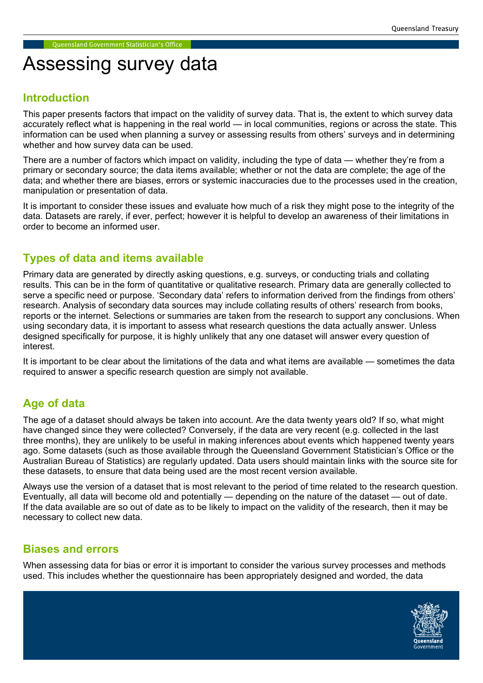# Assessing survey data

# Introduction

This paper presents factors that impact on the validity of survey data. That is, the extent to which survey data accurately reflect what is happening in the real world — in local communities, regions or across the state. This information can be used when planning a survey or assessing results from others' surveys and in determining whether and how survey data can be used.

There are a number of factors which impact on validity, including the type of data — whether they're from a primary or secondary source; the data items available; whether or not the data are complete; the age of the data; and whether there are biases, errors or systemic inaccuracies due to the processes used in the creation, manipulation or presentation of data.

It is important to consider these issues and evaluate how much of a risk they might pose to the integrity of the data. Datasets are rarely, if ever, perfect; however it is helpful to develop an awareness of their limitations in order to become an informed user.

# Types of data and items available

Primary data are generated by directly asking questions, e.g. surveys, or conducting trials and collating results. This can be in the form of quantitative or qualitative research. Primary data are generally collected to serve a specific need or purpose. 'Secondary data' refers to information derived from the findings from others' research. Analysis of secondary data sources may include collating results of others' research from books, reports or the internet. Selections or summaries are taken from the research to support any conclusions. When using secondary data, it is important to assess what research questions the data actually answer. Unless designed specifically for purpose, it is highly unlikely that any one dataset will answer every question of interest.

It is important to be clear about the limitations of the data and what items are available — sometimes the data required to answer a specific research question are simply not available.

# Age of data

The age of a dataset should always be taken into account. Are the data twenty years old? If so, what might have changed since they were collected? Conversely, if the data are very recent (e.g. collected in the last three months), they are unlikely to be useful in making inferences about events which happened twenty years ago. Some datasets (such as those available through the Queensland Government Statistician's Office or the Australian Bureau of Statistics) are regularly updated. Data users should maintain links with the source site for these datasets, to ensure that data being used are the most recent version available.

Always use the version of a dataset that is most relevant to the period of time related to the research question. Eventually, all data will become old and potentially — depending on the nature of the dataset — out of date. If the data available are so out of date as to be likely to impact on the validity of the research, then it may be necessary to collect new data.

# Biases and errors

When assessing data for bias or error it is important to consider the various survey processes and methods used. This includes whether the questionnaire has been appropriately designed and worded, the data

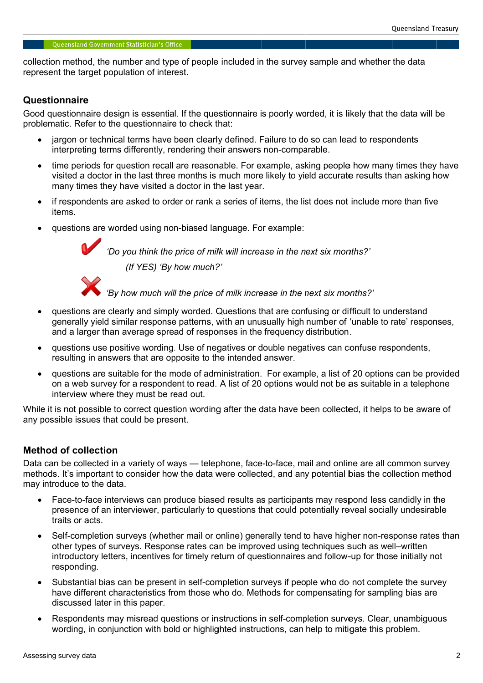collection method, the number and type of people included in the survey sample and whether the data represent the target population of interest. represent the target population of interest.<br>**Questionnaire**<br>Good questionnaire design is essential. If the questionnaire is

### **Questionnaire**

•

problematic. Refer to the questionnaire to check that on method, the number and<br>the target population of<br>**onnaire**<br>destionnaire design is ess<br>atic. Refer to the questio<br>argon or technical terms method, the number and type of people included in the survey sample and<br>the target population of interest.<br>**naire**<br>stionnaire design is essential. If the questionnaire is poorly worded, it is like<br>ic. Refer to the question that the dat

- jargon or technical terms have been clearly defined. Failure to do so can lead to respondents interpreting terms differently, rendering their answers non-comparable.
- interpreting terms differently, rendering their answers non-comparable.<br>time periods for question recall are reasonable. For example, asking people how many times they have visited a doctor in the last three months is much more likely to yield accurate results than asking how many times they have visited a doctor in the last year. recall are reasonable. For example, asking people how many times they isited a doctor in the last three months is much more likely to yield accurate results than asking hot any times they have visited a doctor in the last accurate results than asking how d to respondents<br>how many times they have<br>results than asking how<br>include more than five<br>ths?'<br>ficult to understand<br>unable to rate' responses
- if respondents are asked to order or rank a series of items, the list does not include more than five items. visited a doctor in the last three months is much more likely to yield accurate results than asking homany times they have visited a doctor in the last year.<br>if respondents are asked to order or rank a series of items, the
	- questions are worded using non-biased language. For example:



'Do you think the price of milk will increase in the next six months?'<br>(If YES) 'By how much?' (If YES) 'By how much?' "Do you think the price of milk will increase in the next six months?'<br>(If YES) 'By how much?'<br>'By how much will the price of milk increase in the next six months?'



- questions are clearly and simply worded. Questions that are confusing or difficult to understand questions are clearly and simply worded. Questions that are confusing or difficult to understand<br>generally yield similar response patterns, with an unusually high number of 'unable to rate' responses, and a larger than average spread of responses in the frequency distribution. estions that are confusing or difficult to understand<br>i an unusually high number of 'unable to rate' resport<br>es in the frequency distribution.<br>ives or double negatives can confuse respondents,<br>ntended answer.
- and a larger than average spread of responses in the frequency distrit<br>questions use positive wording. Use of negatives or double negatives resulting in answers that are opposite to the intended answer. larger than average spread of responses in the frequency distribution.<br>ons use positive wording. Use of negatives or double negatives can confuse respondents,
- resulting in answers that are opposite to the intended answer.<br>
• questions are suitable for the mode of administration. For example, a list of 20 options can be provide<br>
on a web survey for a respondent to read. A list of questions are suitable for the mode of administration. For example, a list of 20 options can be provided on a web survey for a respondent to read. A list of 20 options would not be as suitable in a telephone interview where they must be read out. questions are clearly and simply worded. Questions that are confusing o<br>generally yield similar response patterns, with an unusually high number<br>and a larger than average spread of responses in the frequency distribut<br>ques ing in answers that are opposite to the intended answer.<br>
ions are suitable for the mode of administration. For example, a list of 20 options can be provid<br>
veb survey for a respondent to read. A list of 20 options would n use positive wording. Use of negatives or double negatives can confuse respondents,<br>a re suitable for the mode of administration. For example, a list of 20 options can be provide<br>survey for a respondent to read. A list of list of 20 options can be provide<br>of the as suitable in a telephone<br>pllected, it helps to be aware of<br>plotted, it helps to be aware of<br>plotted online are all common survey<br>ntial bias the collection method

any possible issues that could be present. ie it is not possible to correct question wording after the data have<br>possible issues that could be present.<br>**hod of collection**<br>a can be collected in a variety of ways — telephone, face-to-face,<br>nods. It's important to co

# Method of collection

Data can be collected in a variety of ways methods. It's important to consider how the data were collected, and may introduce to the data. Data can be collected in a variety of ways — telephone, face-to-face, mail and online are all common survey Data can be collected in a variety of ways — telephone, face-to-face, mail and dependence biased results as participants may<br>may introduce to the data.<br>• Face-to-face interviews can produce biased results as participants m face, mail and online are all common survey<br>and any potential bias the collection method

- introduce to the data.<br>Face-to-face interviews can produce biased results as participants may respond less candidly in the presence of an interviewer, particularly to questions that could potentially reveal socially undesirable traits or acts acts. i an interviewer, particularly to questions that could potentially reveal socially undesir<br>s.<br>tion surveys (whether mail or online) generally tend to have higher non-response rat<br>of surveys. Response rates can be improved
- Self-completion surveys (whether mail or online) generally tend to have higher non-response rates than other types of surveys. Response rates can be improved using techniques such as well other types of surveys. Response rates can be improved using techniques such as well–written<br>introductory letters, incentives for timely return of questionnaires and follow-up for those initially not responding responding. completion surveys (whether mail or online) generally tend to have hig<br>r types of surveys. Response rates can be improved using techniques<br>ductory letters, incentives for timely return of questionnaires and follow on or technical terms have been celearly defined. Failure (and the mometon or beriods for question recall are reasonable. For exampled a doctor in the last three months is much more likely ty then the last three months is methods. It's important to consider how the data were collected, and any potential<br> **•** Face-to-face interviews can produce biased results as participants may res<br>
presence of an interviewer, particularly to questions that the number and type of people included in the survey sample and whether the discussion of the number and type of people to the data in the survey sample, and the survey sample, the construction of the construction of the c ased results as participants may respond less candidly in the<br>to questions that could potentially reveal socially undesirable<br>or online) generally tend to have higher non-response rates th<br>is can be improved using techniqu on method, the number and type of people included in the survey sample and whether the data words, the number and type of people included, it is likely that the data words.<br>
Unranice design is essential. If the questionnai e questionnaire is poorly worded, it is likely that the data will be<br>eleck that:<br>clearly defined. Failure to do so can lead to respondents<br>method many their answers non-comprable.<br>essenable For example, assing people how m
	- Substantial bias can be present in self-completion surveys if people who do not complete the survey have different characteristics from those who do. Methods for compensating for discussed later in this paper. if people who do not complete the survey<br>for compensating for sampling bias are<br>-completion surveys. Clear, unambiguous up for those initially not<br>not complete the survey<br>for sampling bias are
	- Respondents may misread questions or instructions in self-completion surveys. Clear, unambiguous Respondents may misread questions or instructions in self-completion surveys. Clear, unamb<br>wording, in conjunction with bold or highlighted instructions, can help to mitigate this problem.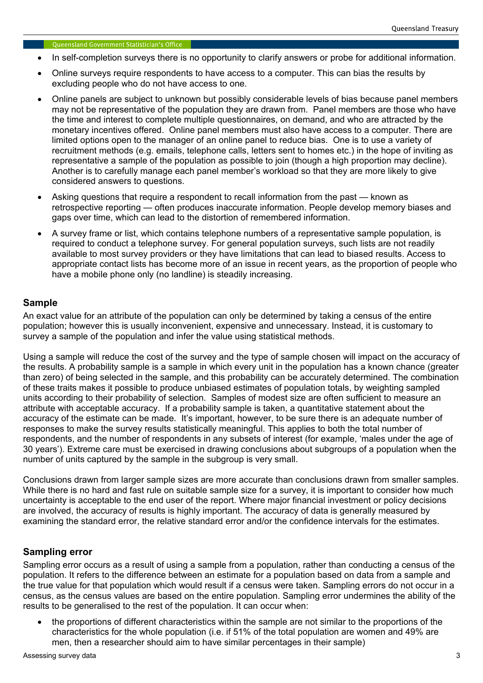- In self-completion surveys there is no opportunity to clarify answers or probe for additional information.
- Online surveys require respondents to have access to a computer. This can bias the results by excluding people who do not have access to one.
- Online panels are subject to unknown but possibly considerable levels of bias because panel members may not be representative of the population they are drawn from. Panel members are those who have the time and interest to complete multiple questionnaires, on demand, and who are attracted by the monetary incentives offered. Online panel members must also have access to a computer. There are limited options open to the manager of an online panel to reduce bias. One is to use a variety of recruitment methods (e.g. emails, telephone calls, letters sent to homes etc.) in the hope of inviting as representative a sample of the population as possible to join (though a high proportion may decline). Another is to carefully manage each panel member's workload so that they are more likely to give considered answers to questions.
- Asking questions that require a respondent to recall information from the past known as retrospective reporting — often produces inaccurate information. People develop memory biases and gaps over time, which can lead to the distortion of remembered information.
- A survey frame or list, which contains telephone numbers of a representative sample population, is required to conduct a telephone survey. For general population surveys, such lists are not readily available to most survey providers or they have limitations that can lead to biased results. Access to appropriate contact lists has become more of an issue in recent years, as the proportion of people who have a mobile phone only (no landline) is steadily increasing.

# Sample

An exact value for an attribute of the population can only be determined by taking a census of the entire population; however this is usually inconvenient, expensive and unnecessary. Instead, it is customary to survey a sample of the population and infer the value using statistical methods.

Using a sample will reduce the cost of the survey and the type of sample chosen will impact on the accuracy of the results. A probability sample is a sample in which every unit in the population has a known chance (greater than zero) of being selected in the sample, and this probability can be accurately determined. The combination of these traits makes it possible to produce unbiased estimates of population totals, by weighting sampled units according to their probability of selection. Samples of modest size are often sufficient to measure an attribute with acceptable accuracy. If a probability sample is taken, a quantitative statement about the accuracy of the estimate can be made. It's important, however, to be sure there is an adequate number of responses to make the survey results statistically meaningful. This applies to both the total number of respondents, and the number of respondents in any subsets of interest (for example, 'males under the age of 30 years'). Extreme care must be exercised in drawing conclusions about subgroups of a population when the number of units captured by the sample in the subgroup is very small.

Conclusions drawn from larger sample sizes are more accurate than conclusions drawn from smaller samples. While there is no hard and fast rule on suitable sample size for a survey, it is important to consider how much uncertainty is acceptable to the end user of the report. Where major financial investment or policy decisions are involved, the accuracy of results is highly important. The accuracy of data is generally measured by examining the standard error, the relative standard error and/or the confidence intervals for the estimates.

# Sampling error

Sampling error occurs as a result of using a sample from a population, rather than conducting a census of the population. It refers to the difference between an estimate for a population based on data from a sample and the true value for that population which would result if a census were taken. Sampling errors do not occur in a census, as the census values are based on the entire population. Sampling error undermines the ability of the results to be generalised to the rest of the population. It can occur when:

• the proportions of different characteristics within the sample are not similar to the proportions of the characteristics for the whole population (i.e. if 51% of the total population are women and 49% are men, then a researcher should aim to have similar percentages in their sample)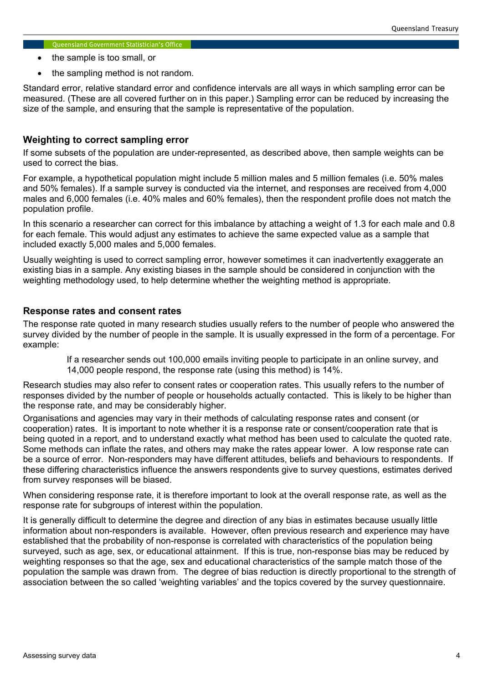- the sample is too small, or
- the sampling method is not random.

Standard error, relative standard error and confidence intervals are all ways in which sampling error can be measured. (These are all covered further on in this paper.) Sampling error can be reduced by increasing the size of the sample, and ensuring that the sample is representative of the population.

# Weighting to correct sampling error

If some subsets of the population are under-represented, as described above, then sample weights can be used to correct the bias.

For example, a hypothetical population might include 5 million males and 5 million females (i.e. 50% males and 50% females). If a sample survey is conducted via the internet, and responses are received from 4,000 males and 6,000 females (i.e. 40% males and 60% females), then the respondent profile does not match the population profile.

In this scenario a researcher can correct for this imbalance by attaching a weight of 1.3 for each male and 0.8 for each female. This would adjust any estimates to achieve the same expected value as a sample that included exactly 5,000 males and 5,000 females.

Usually weighting is used to correct sampling error, however sometimes it can inadvertently exaggerate an existing bias in a sample. Any existing biases in the sample should be considered in conjunction with the weighting methodology used, to help determine whether the weighting method is appropriate.

### Response rates and consent rates

The response rate quoted in many research studies usually refers to the number of people who answered the survey divided by the number of people in the sample. It is usually expressed in the form of a percentage. For example:

If a researcher sends out 100,000 emails inviting people to participate in an online survey, and 14,000 people respond, the response rate (using this method) is 14%.

Research studies may also refer to consent rates or cooperation rates. This usually refers to the number of responses divided by the number of people or households actually contacted. This is likely to be higher than the response rate, and may be considerably higher.

Organisations and agencies may vary in their methods of calculating response rates and consent (or cooperation) rates. It is important to note whether it is a response rate or consent/cooperation rate that is being quoted in a report, and to understand exactly what method has been used to calculate the quoted rate. Some methods can inflate the rates, and others may make the rates appear lower. A low response rate can be a source of error. Non-responders may have different attitudes, beliefs and behaviours to respondents. If these differing characteristics influence the answers respondents give to survey questions, estimates derived from survey responses will be biased.

When considering response rate, it is therefore important to look at the overall response rate, as well as the response rate for subgroups of interest within the population.

It is generally difficult to determine the degree and direction of any bias in estimates because usually little information about non-responders is available. However, often previous research and experience may have established that the probability of non-response is correlated with characteristics of the population being surveyed, such as age, sex, or educational attainment. If this is true, non-response bias may be reduced by weighting responses so that the age, sex and educational characteristics of the sample match those of the population the sample was drawn from. The degree of bias reduction is directly proportional to the strength of association between the so called 'weighting variables' and the topics covered by the survey questionnaire.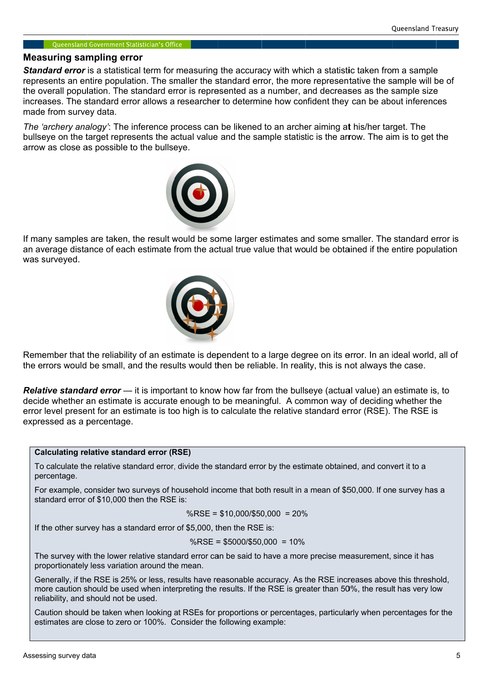### Measuring sampling error

Standard error is a statistical term for measuring the accuracy with which a statistic taken from a sample **Standard error** is a statistical term for measuring the accuracy with which a statistic taken from a sample<br>represents an entire population. The smaller the standard error, the more representative the sample will be of represents an entire population. The smaller the standard error, the more representative the sample will be<br>the overall population. The standard error is represented as a number, and decreases as the sample size increases. The standard error allows a researcher to determine how confident made from survey data. increases. The standard error allows a researcher to determine how confident they can be about infere<br>made from survey data.<br>The *'archery analogy'*: The inference process can be likened to an archer aiming a**t** his/her ta For a statistical term for measuring the accuracy with which a statistical term for a sample population. The should be should be should be to or 10 the construct as in the statistical term for the should be should not be opulation. The standard error is represented as a number, and decreases as the sample size<br>he standard error allows a researcher to determine how confident they can be about inferences<br>urvey data.<br>r analogy': The inference Strained are or is a statistical term for measuring the accuracy will wish a statistic false in the material term<br>expected an extension for measurements to accuracy will wish a statistic false in form a simple will<br>enginee arrow is a statistical term for measuring the accuracy with which statistic taken from a sample population. The smaller the sample are mimber, and elects are sample proposition. The smaller the shample measurement are onc

The 'archery analogy': The inference process can be likened to an archer aiming at his/her target. The<br>bullseye on the target represents the actual value and the sample statistic is the arrow. The aim is to get the arrow as close as possible to the bullseye. bullseye on the ta<br>arrow as close as<br>If many samples ullseye on the target represen<br>rrow as close as possible to the<br>many samples are taken, the



If many samples are taken, the result would be some larger estimates and some smaller. The standard error is an average distance of each estimate from the actual true value that would be obtained if the entire population<br>was surveyed. was surveyed as close as possible to the bullseye.<br>
y samples are taken, the result would be some larger estimates and some smaller. The standard error is<br>
grape distance of each estimate from the actual true value that would be obtain



Remember that the reliability of an estimate is dependent to a large degree on its error. In an ideal world, all of Remember that the reliability of an estimate is dependent to a large degree on its error. In an ideal world,<br>the errors would be small, and the results would then be reliable. In reality, this is not always the case. he reliability of an estimate is dependent to a large degree on its error. In an ideal world, all d<br>be small, and the results would then be reliable. In reality, this is not always the case.<br>**rd error** — it is important to

Relative standard error decide whether an estimate is accurate enough to be meaningful. A common way of deciding whether the decide whether an estimate is accurate enough to be meaningful. A common way of<br>error level present for an estimate is too high is to calculate the relative standard erro expressed as a percentage. errors would be small, and the results would then be reliable. In reality, this is not<br>**ative standard error** — it is important to know how far from the bullseye (actual \<br>ide whether an estimate is accurate enough to be m ine standard error allows a researcher to determine how confident the<br>
invery data.<br>
Yanalogy: The inference process can be likened to an archer alming the larged represents the actual value and the sample statistic is the if the entire population<br>was surveyed.<br>
We say the entire population was surveyed.<br>
Remember that the reliability of an estimate is dependent to a large degree on its error. In an ideal world, all of<br>
the errors would be s obtained if the entire popular<br>
iability of an estimate is dependent to a large degree on its error. In an ideal world, and<br>
iability of an estimate is dependent to a large degree on its error. In an ideal world, and<br>
or v confident they can be about inferences<br>archer aiming at his/her target. The<br>tatistic is the arrow. The aim is to get the<br>tatistic is the arrow. The aim is to get the<br>tes and some smaller. The standard error it<br>at would b

#### Calculating relative standard error (RSE) Calculating

To calculate the relative standard error, divide the standard error by the estimate obtained, and convert it to a percentage.

For example, consider two surveys of ho standard error of \$10,000 then the RSE is: standard %RSE = \$10,000/\$50,000 = 20% To calculate the relative standard error, divide the standard error by the estimate obtained, and convert it to a<br>percentage.<br>For example, consider two surveys of household income that both result in a mean of \$50,000. If

$$
\%RSE = \$10,000/\$50,000 = 20\%
$$

If the other survey has a standard error of \$5,000, then the RSE is: If the other standard %RSE = \$5000/\$50,000 = 10%

%RSE =  $$10,000/$50,000 = 20%$ <br>If the other survey has a standard error of \$5,000, then the RSE is:<br>%RSE =  $$5000/$50,000 = 10%$ <br>The survey with the lower relative standard error can be said to have a more precise measureme proportionately less variation around the mean. If the other survey has a standard error of \$5,000, then the RSE is:<br>
%RSE = \$5000/\$50,000 = 10%<br>
The survey with the lower relative standard error can be said to have a more precise measurement, since it<br>
proportionately s of household income that both result in a mean of \$50,000. If one survey has a<br>RSE is:<br>
%RSE = \$10,000/\$50,000 = 20%<br>
error of \$5,000, then the RSE is:<br>
%RSE = \$5000/\$50,000 = 10%<br>
standard error can be said to have a mo standard error, divide the standard error by the estimate obtained, and convert it to<br>
i.e., consider two surveys of household income that both result in a mean of \$50,000. If one survey<br>
or of \$10,000 then the RSE is:<br>  $\$ me that both result in a mean of \$50,000. If one survey has a<br>10,000/\$50,000 = 20%<br>in the RSE is:<br>55000/\$50,000 = 10%<br>be said to have a more precise measurement, since it has<br>sonable accuracy. As the RSE increases above th

Generally, if the RSE is 25% or less, results have reasonable accurac<br>more caution should be used when interpreting the results. If the RSE reliability, and should not be used. more caution should be used when interpreting the results. If the RSE is greater than 50%, the result has very low<br>reliability, and should not be used.<br>Caution should be taken when looking at RSEs for proportions or percen The survey with the lower relative standard error can be said to have a more precise measurement, since<br>proportionately less variation around the mean.<br>Generally, if the RSE is 25% or less, results have reasonable accuracy

estimates are close to zero or 100%. Consider the following example: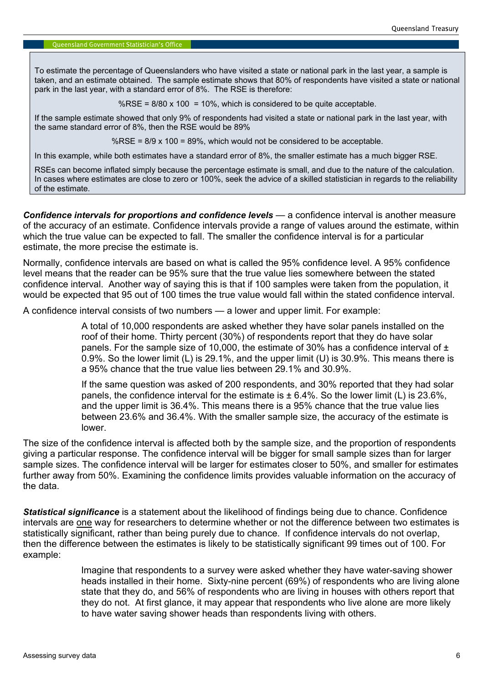To estimate the percentage of Queenslanders who have visited a state or national park in the last year, a sample is taken, and an estimate obtained. The sample estimate shows that 80% of respondents have visited a state or national park in the last year, with a standard error of 8%. The RSE is therefore:

%RSE =  $8/80 \times 100 = 10\%$ , which is considered to be quite acceptable.

If the sample estimate showed that only 9% of respondents had visited a state or national park in the last year, with the same standard error of 8%, then the RSE would be 89%

%RSE =  $8/9 \times 100 = 89$ %, which would not be considered to be acceptable.

In this example, while both estimates have a standard error of 8%, the smaller estimate has a much bigger RSE.

RSEs can become inflated simply because the percentage estimate is small, and due to the nature of the calculation. In cases where estimates are close to zero or 100%, seek the advice of a skilled statistician in regards to the reliability of the estimate.

Confidence intervals for proportions and confidence levels — a confidence interval is another measure of the accuracy of an estimate. Confidence intervals provide a range of values around the estimate, within which the true value can be expected to fall. The smaller the confidence interval is for a particular estimate, the more precise the estimate is.

Normally, confidence intervals are based on what is called the 95% confidence level. A 95% confidence level means that the reader can be 95% sure that the true value lies somewhere between the stated confidence interval. Another way of saying this is that if 100 samples were taken from the population, it would be expected that 95 out of 100 times the true value would fall within the stated confidence interval.

A confidence interval consists of two numbers — a lower and upper limit. For example:

A total of 10,000 respondents are asked whether they have solar panels installed on the roof of their home. Thirty percent (30%) of respondents report that they do have solar panels. For the sample size of 10,000, the estimate of 30% has a confidence interval of  $\pm$ 0.9%. So the lower limit (L) is 29.1%, and the upper limit (U) is 30.9%. This means there is a 95% chance that the true value lies between 29.1% and 30.9%.

If the same question was asked of 200 respondents, and 30% reported that they had solar panels, the confidence interval for the estimate is  $\pm$  6.4%. So the lower limit (L) is 23.6%. and the upper limit is 36.4%. This means there is a 95% chance that the true value lies between 23.6% and 36.4%. With the smaller sample size, the accuracy of the estimate is lower.

The size of the confidence interval is affected both by the sample size, and the proportion of respondents giving a particular response. The confidence interval will be bigger for small sample sizes than for larger sample sizes. The confidence interval will be larger for estimates closer to 50%, and smaller for estimates further away from 50%. Examining the confidence limits provides valuable information on the accuracy of the data.

**Statistical significance** is a statement about the likelihood of findings being due to chance. Confidence intervals are one way for researchers to determine whether or not the difference between two estimates is statistically significant, rather than being purely due to chance. If confidence intervals do not overlap, then the difference between the estimates is likely to be statistically significant 99 times out of 100. For example:

> Imagine that respondents to a survey were asked whether they have water-saving shower heads installed in their home. Sixty-nine percent (69%) of respondents who are living alone state that they do, and 56% of respondents who are living in houses with others report that they do not. At first glance, it may appear that respondents who live alone are more likely to have water saving shower heads than respondents living with others.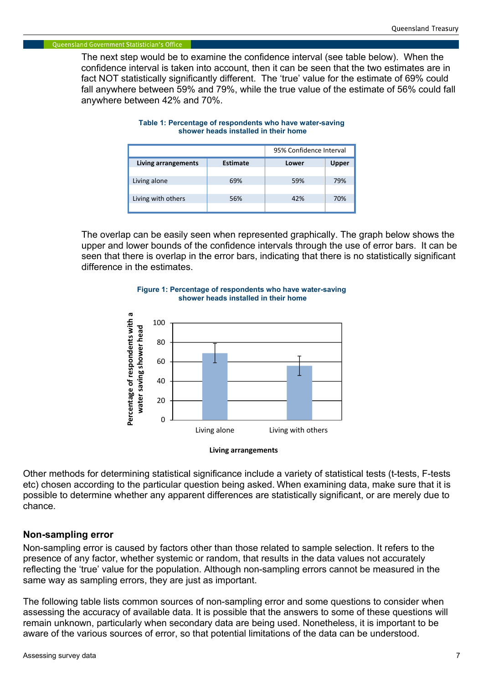The next step would be to examine the confidence interval (see table below). When the confidence interval is taken into account, then it can be seen that the two estimates are in fact NOT statistically significantly different. The 'true' value for the estimate of 69% could fall anywhere between 59% and 79%, while the true value of the estimate of 56% could fall anywhere between 42% and 70%.

|                     |          | 95% Confidence Interval |              |
|---------------------|----------|-------------------------|--------------|
| Living arrangements | Estimate | Lower                   | <b>Upper</b> |
|                     |          |                         |              |
| Living alone        | 69%      | 59%                     | 79%          |
|                     |          |                         |              |
| Living with others  | 56%      | 42%                     | 70%          |
|                     |          |                         |              |

#### Table 1: Percentage of respondents who have water-saving shower heads installed in their home

The overlap can be easily seen when represented graphically. The graph below shows the upper and lower bounds of the confidence intervals through the use of error bars. It can be seen that there is overlap in the error bars, indicating that there is no statistically significant difference in the estimates.





Living arrangements

Other methods for determining statistical significance include a variety of statistical tests (t-tests, F-tests etc) chosen according to the particular question being asked. When examining data, make sure that it is possible to determine whether any apparent differences are statistically significant, or are merely due to chance.

### Non-sampling error

Non-sampling error is caused by factors other than those related to sample selection. It refers to the presence of any factor, whether systemic or random, that results in the data values not accurately reflecting the 'true' value for the population. Although non-sampling errors cannot be measured in the same way as sampling errors, they are just as important.

The following table lists common sources of non-sampling error and some questions to consider when assessing the accuracy of available data. It is possible that the answers to some of these questions will remain unknown, particularly when secondary data are being used. Nonetheless, it is important to be aware of the various sources of error, so that potential limitations of the data can be understood.